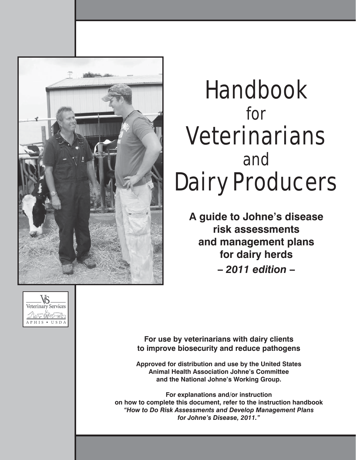

# Handbook for **Veterinarians** and Dairy Producers

**A guide to Johne's disease risk assessments and management plans for dairy herds –** *2011 edition* **–**



**For use by veterinarians with dairy clients to improve biosecurity and reduce pathogens**

**Approved for distribution and use by the United States Animal Health Association Johne's Committee and the National Johne's Working Group.**

**For explanations and/or instruction on how to complete this document, refer to the instruction handbook**  *"How to Do Risk Assessments and Develop Management Plans for Johne's Disease, 2011."*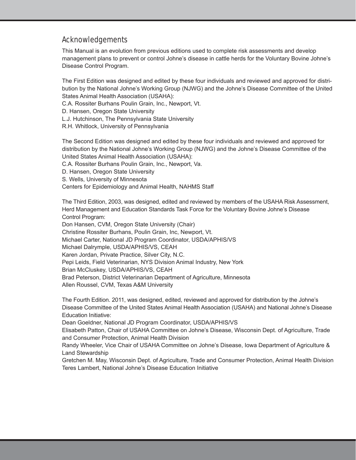#### Acknowledgements

This Manual is an evolution from previous editions used to complete risk assessments and develop management plans to prevent or control Johne's disease in cattle herds for the Voluntary Bovine Johne's Disease Control Program.

The First Edition was designed and edited by these four individuals and reviewed and approved for distribution by the National Johne's Working Group (NJWG) and the Johne's Disease Committee of the United States Animal Health Association (USAHA):

C.A. Rossiter Burhans Poulin Grain, Inc., Newport, Vt.

D. Hansen, Oregon State University

L.J. Hutchinson, The Pennsylvania State University

R.H. Whitlock, University of Pennsylvania

The Second Edition was designed and edited by these four individuals and reviewed and approved for distribution by the National Johne's Working Group (NJWG) and the Johne's Disease Committee of the United States Animal Health Association (USAHA):

C.A. Rossiter Burhans Poulin Grain, Inc., Newport, Va.

D. Hansen, Oregon State University

S. Wells, University of Minnesota

Centers for Epidemiology and Animal Health, NAHMS Staff

The Third Edition, 2003, was designed, edited and reviewed by members of the USAHA Risk Assessment, Herd Management and Education Standards Task Force for the Voluntary Bovine Johne's Disease Control Program:

Don Hansen, CVM, Oregon State University (Chair)

Christine Rossiter Burhans, Poulin Grain, Inc, Newport, Vt.

Michael Carter, National JD Program Coordinator, USDA/APHIS/VS

Michael Dalrymple, USDA/APHIS/VS, CEAH

Karen Jordan, Private Practice, Silver City, N.C.

Pepi Leids, Field Veterinarian, NYS Division Animal Industry, New York

Brian McCluskey, USDA/APHIS/VS, CEAH

Brad Peterson, District Veterinarian Department of Agriculture, Minnesota

Allen Roussel, CVM, Texas A&M University

The Fourth Edition. 2011, was designed, edited, reviewed and approved for distribution by the Johne's Disease Committee of the United States Animal Health Association (USAHA) and National Johne's Disease Education Initiative:

Dean Goeldner, National JD Program Coordinator, USDA/APHIS/VS

Elisabeth Patton, Chair of USAHA Committee on Johne's Disease, Wisconsin Dept. of Agriculture, Trade and Consumer Protection, Animal Health Division

Randy Wheeler, Vice Chair of USAHA Committee on Johne's Disease, Iowa Department of Agriculture & Land Stewardship

Gretchen M. May, Wisconsin Dept. of Agriculture, Trade and Consumer Protection, Animal Health Division Teres Lambert, National Johne's Disease Education Initiative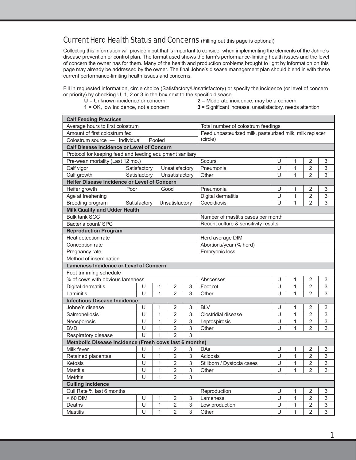#### Current Herd Health Status and Concerns (Filling out this page is optional)

Collecting this information will provide input that is important to consider when implementing the elements of the Johne's disease prevention or control plan. The format used shows the farm's performance-limiting health issues and the level of concern the owner has for them. Many of the health and production problems brought to light by information on this page may already be addressed by the owner. The final Johne's disease management plan should blend in with these current performance-limiting health issues and concerns.

Fill in requested information, circle choice (Satisfactory/Unsatisfactory) or specify the incidence (or level of concern or priority) by checking  $U$ , 1, 2 or 3 in the box next to the specific disease.

- 
- 
- 
- **U** = Unknown incidence or concern **2** = Moderate incidence, may be a concern **1** = OK, low incidence, not a concern **3** = Significant increase, unsatisfactory, needs **3** = Significant increase, unsatisfactory, needs attention

| <b>Calf Feeding Practices</b>                              |                                              |              |                |   |                                                          |        |              |                |                           |  |
|------------------------------------------------------------|----------------------------------------------|--------------|----------------|---|----------------------------------------------------------|--------|--------------|----------------|---------------------------|--|
| Average hours to first colostrum                           |                                              |              |                |   | Total number of colostrum feedings                       |        |              |                |                           |  |
| Amount of first colostrum fed                              |                                              |              |                |   | Feed unpasteurized milk, pasteurized milk, milk replacer |        |              |                |                           |  |
| Colostrum source - Individual                              |                                              | Pooled       |                |   | (circle)                                                 |        |              |                |                           |  |
| <b>Calf Disease Incidence or Level of Concern</b>          |                                              |              |                |   |                                                          |        |              |                |                           |  |
| Protocol for keeping feed and feeding equipment sanitary   |                                              |              |                |   |                                                          |        |              |                |                           |  |
| Pre-wean mortality (Last 12 mo.)                           |                                              |              |                |   | Scours                                                   | U      | 1            | 2              | 3                         |  |
| Calf vigor                                                 | Satisfactory                                 |              | Unsatisfactory |   | Pneumonia                                                | U      | 1            | $\overline{2}$ | $\mathbf{3}$              |  |
| Calf growth                                                | Satisfactory                                 |              | Unsatisfactory |   | Other                                                    | $\cup$ | 1            | $\overline{2}$ | 3                         |  |
|                                                            | Heifer Disease Incidence or Level of Concern |              |                |   |                                                          |        |              |                |                           |  |
| Heifer growth<br>Poor                                      |                                              | Good         |                |   | Pneumonia                                                | U      | 1            | 2              | $\sqrt{3}$                |  |
| Age at freshening                                          |                                              |              |                |   | Digital dermatitis                                       | U      | $\mathbf{1}$ | $\overline{2}$ | $\mathfrak{S}$            |  |
| Breeding program                                           | Satisfactory                                 |              | Unsatisfactory |   | Coccidiosis                                              | $\cup$ | $\mathbf{1}$ | $\overline{2}$ | 3                         |  |
| <b>Milk Quality and Udder Health</b>                       |                                              |              |                |   |                                                          |        |              |                |                           |  |
| <b>Bulk tank SCC</b><br>Number of mastitis cases per month |                                              |              |                |   |                                                          |        |              |                |                           |  |
| Bacteria count/ SPC                                        |                                              |              |                |   | Recent culture & sensitivity results                     |        |              |                |                           |  |
| <b>Reproduction Program</b>                                |                                              |              |                |   |                                                          |        |              |                |                           |  |
| Heat detection rate<br>Herd average DIM                    |                                              |              |                |   |                                                          |        |              |                |                           |  |
| Conception rate                                            |                                              |              |                |   | Abortions/year (% herd)                                  |        |              |                |                           |  |
| Embryonic loss<br>Pregnancy rate                           |                                              |              |                |   |                                                          |        |              |                |                           |  |
| Method of insemination                                     |                                              |              |                |   |                                                          |        |              |                |                           |  |
| <b>Lameness Incidence or Level of Concern</b>              |                                              |              |                |   |                                                          |        |              |                |                           |  |
| Foot trimming schedule                                     |                                              |              |                |   |                                                          |        |              |                |                           |  |
| % of cows with obvious lameness                            |                                              |              |                |   | Abscesses                                                | U      | 1            | $\overline{2}$ | $\sqrt{3}$                |  |
| Digital dermatitis                                         | U                                            | 1            | $\overline{2}$ | 3 | Foot rot                                                 | U      | $\mathbf{1}$ | $\overline{2}$ | $\mathfrak{S}$            |  |
| Laminitis                                                  | Ū                                            | $\mathbf{1}$ | $\overline{2}$ | 3 | Other                                                    | $\cup$ | 1            | $\overline{2}$ | 3                         |  |
| <b>Infectious Disease Incidence</b>                        |                                              |              |                |   |                                                          |        |              |                |                           |  |
| Johne's disease                                            | U                                            | 1            | $\overline{2}$ | 3 | <b>BLV</b>                                               | U      | 1            | $\overline{2}$ | $\sqrt{3}$                |  |
| Salmonellosis                                              | U                                            | 1            | $\overline{2}$ | 3 | Clostridial disease                                      | U      | $\mathbf{1}$ | $\overline{2}$ | $\mathfrak{S}$            |  |
| Neosporosis                                                | U                                            | 1            | $\overline{2}$ | 3 | Leptospirosis                                            | U      | 1            | $\overline{2}$ | $\mathfrak{S}$            |  |
| <b>BVD</b>                                                 | U                                            | 1            | $\overline{2}$ | 3 | Other                                                    | $\cup$ | 1            | $\overline{2}$ | 3                         |  |
| Respiratory disease                                        | Ù                                            | 1            | $\overline{2}$ | 3 |                                                          |        |              |                |                           |  |
| Metabolic Disease Incidence (Fresh cows last 6 months)     |                                              |              |                |   |                                                          |        |              |                |                           |  |
| Milk fever                                                 | U                                            | 1            | $\overline{2}$ | 3 | <b>DAs</b>                                               | U      | 1            | $\overline{2}$ | 3                         |  |
| Retained placentas                                         | U                                            | 1            | $\overline{2}$ | 3 | Acidosis                                                 | $\cup$ | $\mathbf{1}$ | $\overline{2}$ | $\mathfrak{S}$            |  |
| Ketosis                                                    | U                                            | $\mathbf 1$  | $\overline{2}$ | 3 | Stillborn / Dystocia cases                               | U      | 1            | $\mathbf 2$    | $\ensuremath{\mathsf{3}}$ |  |
| <b>Mastitis</b>                                            | U                                            | 1            | $\overline{2}$ | 3 | Other                                                    | U      | 1            | $\overline{2}$ | 3                         |  |
| <b>Metritis</b>                                            | U                                            | $\mathbf{1}$ | $\overline{2}$ | 3 |                                                          |        |              |                |                           |  |
| <b>Culling Incidence</b>                                   |                                              |              |                |   |                                                          |        |              |                |                           |  |
| Cull Rate % last 6 months                                  |                                              |              |                |   | Reproduction                                             | U      | 1            | $\sqrt{2}$     | $\ensuremath{\mathsf{3}}$ |  |
| < 60 DIM                                                   | U                                            | 1            | $\overline{2}$ | 3 | Lameness                                                 | U      | $\mathbf{1}$ | $\overline{2}$ | $\sqrt{3}$                |  |
| Deaths                                                     | U                                            | $\mathbf 1$  | $\overline{2}$ | 3 | Low production                                           | U      | $\mathbf{1}$ | $\overline{2}$ | $\ensuremath{\mathsf{3}}$ |  |
| Mastitis                                                   | U                                            | 1            | $\overline{2}$ | 3 | Other                                                    | U      | $\mathbf{1}$ | $\overline{2}$ | $\sqrt{3}$                |  |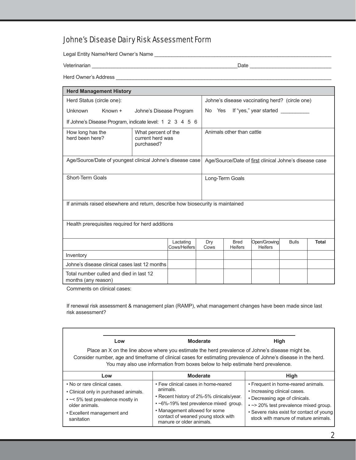## Johne's Disease Dairy Risk Assessment Form

Legal Entity Name/Herd Owner's Name \_\_\_\_\_\_\_\_\_\_\_\_\_\_\_\_\_\_\_\_\_\_\_\_\_\_\_\_\_\_\_\_\_\_\_\_\_\_\_\_\_\_\_\_\_\_\_\_\_\_\_\_\_\_\_\_\_\_\_\_\_\_

Veterinarian \_\_\_\_\_\_\_\_\_\_\_\_\_\_\_\_\_\_\_\_\_\_\_\_\_\_\_\_\_\_\_\_\_\_\_\_\_\_\_\_\_\_\_\_\_\_\_\_\_\_\_Date \_\_\_\_\_\_\_\_\_\_\_\_\_\_\_\_\_\_\_\_\_\_\_\_\_\_\_\_\_

Herd Owner's Address \_\_\_\_\_\_\_\_\_\_\_\_\_\_\_\_\_\_\_\_\_\_\_\_\_\_\_\_\_\_\_\_\_\_\_\_\_\_\_\_\_\_\_\_\_\_\_\_\_\_\_\_\_\_\_\_\_\_\_\_\_\_\_\_\_\_\_\_\_\_\_\_\_\_\_\_

| <b>Herd Management History</b>                                                               |                         |                           |                                                |                                                        |                               |                                |              |              |
|----------------------------------------------------------------------------------------------|-------------------------|---------------------------|------------------------------------------------|--------------------------------------------------------|-------------------------------|--------------------------------|--------------|--------------|
| Herd Status (circle one):                                                                    |                         |                           | Johne's disease vaccinating herd? (circle one) |                                                        |                               |                                |              |              |
| <b>Unknown</b><br>Known +                                                                    | Johne's Disease Program |                           |                                                |                                                        |                               | No Yes If "yes," year started  |              |              |
| If Johne's Disease Program, indicate level: 1 2 3 4 5 6                                      |                         |                           |                                                |                                                        |                               |                                |              |              |
| How long has the<br>What percent of the<br>herd been here?<br>current herd was<br>purchased? |                         |                           | Animals other than cattle                      |                                                        |                               |                                |              |              |
| Age/Source/Date of youngest clinical Johne's disease case                                    |                         |                           |                                                | Age/Source/Date of first clinical Johne's disease case |                               |                                |              |              |
| Short-Term Goals                                                                             |                         |                           |                                                | Long-Term Goals                                        |                               |                                |              |              |
| If animals raised elsewhere and return, describe how biosecurity is maintained               |                         |                           |                                                |                                                        |                               |                                |              |              |
| Health prerequisites required for herd additions                                             |                         |                           |                                                |                                                        |                               |                                |              |              |
|                                                                                              |                         | Lactating<br>Cows/Heifers | Dry<br>Cows                                    |                                                        | <b>Bred</b><br><b>Heifers</b> | Open/Growing<br><b>Heifers</b> | <b>Bulls</b> | <b>Total</b> |
| Inventory                                                                                    |                         |                           |                                                |                                                        |                               |                                |              |              |
| Johne's disease clinical cases last 12 months                                                |                         |                           |                                                |                                                        |                               |                                |              |              |
| Total number culled and died in last 12<br>months (any reason)                               |                         |                           |                                                |                                                        |                               |                                |              |              |

Comments on clinical cases:

If renewal risk assessment & management plan (RAMP), what management changes have been made since last risk assessment?

| Low                                                                                                                                                                      |     | <b>Moderate</b><br>Place an X on the line above where you estimate the herd prevalence of Johne's disease might be.<br>Consider number, age and timeframe of clinical cases for estimating prevalence of Johne's disease in the herd.<br>You may also use information from boxes below to help estimate herd prevalence. | <b>High</b>                                                                                                                                                                                                                         |
|--------------------------------------------------------------------------------------------------------------------------------------------------------------------------|-----|--------------------------------------------------------------------------------------------------------------------------------------------------------------------------------------------------------------------------------------------------------------------------------------------------------------------------|-------------------------------------------------------------------------------------------------------------------------------------------------------------------------------------------------------------------------------------|
|                                                                                                                                                                          | Low | <b>Moderate</b>                                                                                                                                                                                                                                                                                                          | High                                                                                                                                                                                                                                |
| . No or rare clinical cases.<br>• Clinical only in purchased animals.<br>• ~< 5% test prevalence mostly in<br>older animals.<br>• Excellent management and<br>sanitation |     | • Few clinical cases in home-reared<br>animals.<br>• Recent history of 2%-5% clinicals/year.<br>• ~6%-19% test prevalence mixed group.<br>• Management allowed for some<br>contact of weaned young stock with<br>manure or older animals.                                                                                | • Frequent in home-reared animals.<br>• Increasing clinical cases.<br>• Decreasing age of clinicals.<br>• ~ > 20% test prevalence mixed group.<br>• Severe risks exist for contact of young<br>stock with manure of mature animals. |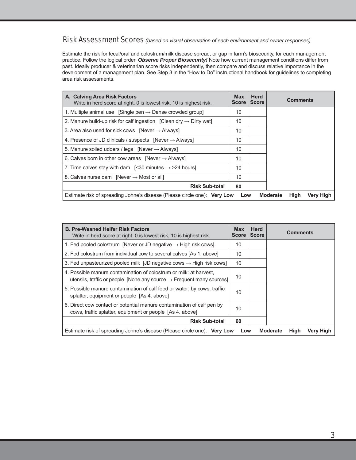#### Risk Assessment Scores *(based on visual observation of each environment and owner responses)*

Estimate the risk for fecal/oral and colostrum/milk disease spread, or gap in farm's biosecurity, for each management practice. Follow the logical order. *Observe Proper Biosecurity!* Note how current management conditions differ from past. Ideally producer & veterinarian score risks independently, then compare and discuss relative importance in the development of a management plan. See Step 3 in the "How to Do" instructional handbook for guidelines to completing area risk assessments.

| A. Calving Area Risk Factors<br>Write in herd score at right. 0 is lowest risk, 10 is highest risk. | <b>Max</b><br><b>Score</b> | <b>Herd</b><br><b>Score</b> | <b>Comments</b>                             |
|-----------------------------------------------------------------------------------------------------|----------------------------|-----------------------------|---------------------------------------------|
| 1. Multiple animal use [Single pen $\rightarrow$ Dense crowded group]                               | 10                         |                             |                                             |
| 2. Manure build-up risk for calf ingestion [Clean dry $\rightarrow$ Dirty wet]                      | 10                         |                             |                                             |
| 3. Area also used for sick cows [Never $\rightarrow$ Always]                                        | 10                         |                             |                                             |
| 4. Presence of JD clinicals / suspects $[Never \rightarrow Always]$                                 | 10                         |                             |                                             |
| 5. Manure soiled udders / legs [Never $\rightarrow$ Always]                                         | 10                         |                             |                                             |
| 6. Calves born in other cow areas [Never $\rightarrow$ Always]                                      | 10                         |                             |                                             |
| 7. Time calves stay with dam $\left[ \leq 30 \right]$ minutes $\rightarrow$ >24 hours               | 10                         |                             |                                             |
| 8. Calves nurse dam [Never $\rightarrow$ Most or all]                                               | 10                         |                             |                                             |
| <b>Risk Sub-total</b>                                                                               | 80                         |                             |                                             |
| Estimate risk of spreading Johne's disease (Please circle one): Very Low                            | Low                        |                             | <b>Moderate</b><br>High<br><b>Very High</b> |

| <b>B. Pre-Weaned Heifer Risk Factors</b><br>Write in herd score at right. 0 is lowest risk, 10 is highest risk.                                         | <b>Max</b><br><b>Score</b> | <b>Herd</b><br><b>Score</b> | <b>Comments</b>                             |
|---------------------------------------------------------------------------------------------------------------------------------------------------------|----------------------------|-----------------------------|---------------------------------------------|
| 1. Fed pooled colostrum [Never or JD negative $\rightarrow$ High risk cows]                                                                             | 10                         |                             |                                             |
| 2. Fed colostrum from individual cow to several calves [As 1. above]                                                                                    | 10                         |                             |                                             |
| 3. Fed unpasteurized pooled milk [JD negative cows $\rightarrow$ High risk cows]                                                                        | 10                         |                             |                                             |
| 4. Possible manure contamination of colostrum or milk: at harvest,<br>utensils, traffic or people [None any source $\rightarrow$ Frequent many sources] | 10                         |                             |                                             |
| 5. Possible manure contamination of calf feed or water: by cows, traffic<br>splatter, equipment or people [As 4. above]                                 | 10                         |                             |                                             |
| 6. Direct cow contact or potential manure contamination of calf pen by<br>cows, traffic splatter, equipment or people [As 4. above]                     | 10                         |                             |                                             |
| <b>Risk Sub-total</b>                                                                                                                                   | 60                         |                             |                                             |
| Estimate risk of spreading Johne's disease (Please circle one): Very Low                                                                                | Low                        |                             | <b>Moderate</b><br><b>High</b><br>Very High |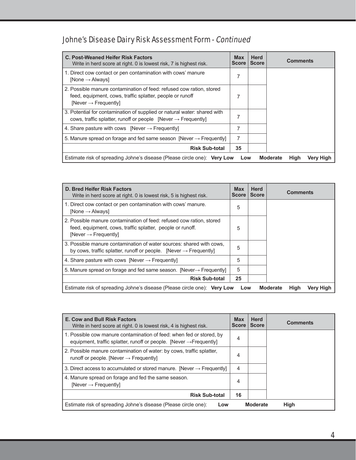# Johne's Disease Dairy Risk Assessment Form - Continued

| <b>C. Post-Weaned Heifer Risk Factors</b><br>Write in herd score at right. 0 is lowest risk, 7 is highest risk.                                                    | <b>Max</b><br><b>Score</b> | <b>Herd</b><br><b>Score</b> | <b>Comments</b>                      |
|--------------------------------------------------------------------------------------------------------------------------------------------------------------------|----------------------------|-----------------------------|--------------------------------------|
| 1. Direct cow contact or pen contamination with cows' manure<br>$[None \rightarrow Always]$                                                                        | 7                          |                             |                                      |
| 2. Possible manure contamination of feed: refused cow ration, stored<br>feed, equipment, cows, traffic splatter, people or runoff<br>$[Never \rightarrow Frequent$ | 7                          |                             |                                      |
| 3. Potential for contamination of supplied or natural water: shared with<br>cows, traffic splatter, runoff or people [Never $\rightarrow$ Frequently]              | 7                          |                             |                                      |
| 4. Share pasture with cows [Never $\rightarrow$ Frequently]                                                                                                        | 7                          |                             |                                      |
| 5. Manure spread on forage and fed same season [Never $\rightarrow$ Frequently]                                                                                    | 7                          |                             |                                      |
| <b>Risk Sub-total</b>                                                                                                                                              | 35                         |                             |                                      |
| Estimate risk of spreading Johne's disease (Please circle one): Very Low                                                                                           | Low                        |                             | High<br><b>Moderate</b><br>Very High |

| D. Bred Heifer Risk Factors<br>Write in herd score at right. 0 is lowest risk, 5 is highest risk.                                                                    | <b>Max</b><br><b>Score</b> | <b>Herd</b><br><b>Score</b> | <b>Comments</b>                      |
|----------------------------------------------------------------------------------------------------------------------------------------------------------------------|----------------------------|-----------------------------|--------------------------------------|
| 1. Direct cow contact or pen contamination with cows' manure.<br>[None $\rightarrow$ Always]                                                                         | 5                          |                             |                                      |
| 2. Possible manure contamination of feed: refused cow ration, stored<br>feed, equipment, cows, traffic splatter, people or runoff.<br>$[Never \rightarrow Frequent]$ | 5                          |                             |                                      |
| 3. Possible manure contamination of water sources: shared with cows.<br>by cows, traffic splatter, runoff or people. [Never $\rightarrow$ Frequently]                | 5                          |                             |                                      |
| 4. Share pasture with cows [Never $\rightarrow$ Frequently]                                                                                                          | 5                          |                             |                                      |
| 5. Manure spread on forage and fed same season. [Never-> Frequently]                                                                                                 | 5                          |                             |                                      |
| <b>Risk Sub-total</b>                                                                                                                                                | 25                         |                             |                                      |
| Estimate risk of spreading Johne's disease (Please circle one): Very Low                                                                                             | Low                        |                             | High<br><b>Moderate</b><br>Very High |

| <b>E. Cow and Bull Risk Factors</b><br>Write in herd score at right. 0 is lowest risk, 4 is highest risk.                                               | <b>Max</b><br><b>Score</b> | <b>Herd</b><br><b>Score</b> | <b>Comments</b> |
|---------------------------------------------------------------------------------------------------------------------------------------------------------|----------------------------|-----------------------------|-----------------|
| 1. Possible cow manure contamination of feed: when fed or stored, by<br>equipment, traffic splatter, runoff or people. [Never $\rightarrow$ Frequently] | 4                          |                             |                 |
| 2. Possible manure contamination of water: by cows, traffic splatter,<br>runoff or people. [Never $\rightarrow$ Frequently]                             | 4                          |                             |                 |
| 3. Direct access to accumulated or stored manure. [Never $\rightarrow$ Frequently]                                                                      | 4                          |                             |                 |
| 4. Manure spread on forage and fed the same season.<br>[Never $\rightarrow$ Frequently]                                                                 | 4                          |                             |                 |
| <b>Risk Sub-total</b>                                                                                                                                   | 16                         |                             |                 |
| Estimate risk of spreading Johne's disease (Please circle one):<br>Low                                                                                  |                            | <b>Moderate</b>             | High            |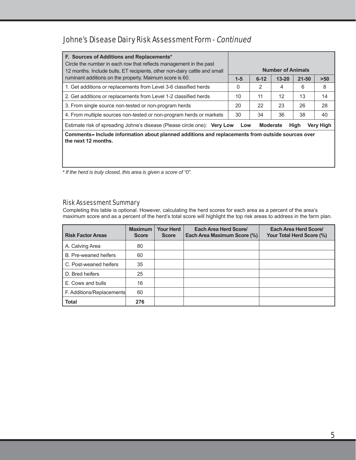## Johne's Disease Dairy Risk Assessment Form - Continued

| F. Sources of Additions and Replacements*<br>Circle the number in each row that reflects management in the past<br>12 months. Include bulls, ET recipients, other non-dairy cattle and small |       |                 | <b>Number of Animals</b> |           |           |
|----------------------------------------------------------------------------------------------------------------------------------------------------------------------------------------------|-------|-----------------|--------------------------|-----------|-----------|
| ruminant additions on the property. Maimum score is 60.                                                                                                                                      | $1-5$ | $6 - 12$        | $13 - 20$                | $21 - 50$ | $>50$     |
| 1. Get additions or replacements from Level 3-6 classified herds                                                                                                                             | 0     | 2               | 4                        | 6         | 8         |
| 2. Get additions or replacements from Level 1-2 classified herds                                                                                                                             | 10    | 11              | 12                       | 13        | 14        |
| 3. From single source non-tested or non-program herds                                                                                                                                        | 20    | 22              | 23                       | 26        | 28        |
| 4. From multiple sources non-tested or non-program herds or markets                                                                                                                          | 30    | 34              | 36                       | 38        | 40        |
| Estimate risk of spreading Johne's disease (Please circle one): Very Low                                                                                                                     | Low   | <b>Moderate</b> |                          | High      | Very High |
| Comments–Include information about planned additions and replacements from outside sources over<br>the next 12 months.                                                                       |       |                 |                          |           |           |

*\* If the herd is truly closed, this area is given a score of "0".*

#### Risk Assessment Summary

Completing this table is optional. However, calculating the herd scores for each area as a percent of the area's maximum score and as a percent of the herd's total score will highlight the top risk areas to address in the farm plan.

| <b>Risk Factor Areas</b>  | <b>Maximum</b><br><b>Score</b> | <b>Your Herd</b><br><b>Score</b> | Each Area Herd Score/<br>Each Area Maximum Score (%) | Each Area Herd Score/<br>Your Total Herd Score (%) |
|---------------------------|--------------------------------|----------------------------------|------------------------------------------------------|----------------------------------------------------|
| A. Calving Area           | 80                             |                                  |                                                      |                                                    |
| B. Pre-weaned heifers     | 60                             |                                  |                                                      |                                                    |
| C. Post-weaned heifers    | 35                             |                                  |                                                      |                                                    |
| D. Bred heifers           | 25                             |                                  |                                                      |                                                    |
| E. Cows and bulls         | 16                             |                                  |                                                      |                                                    |
| F. Additions/Replacements | 60                             |                                  |                                                      |                                                    |
| <b>Total</b>              | 276                            |                                  |                                                      |                                                    |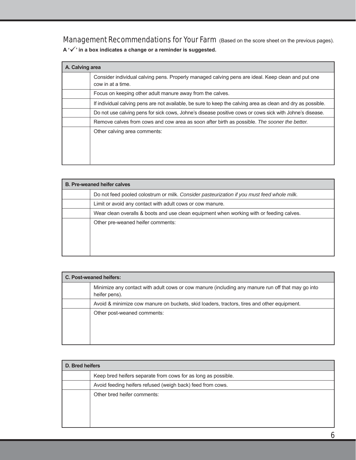Management Recommendations for Your Farm (Based on the score sheet on the previous pages).

**A '' in a box indicates a change or a reminder is suggested.** 

| A. Calving area |                                                                                                                        |
|-----------------|------------------------------------------------------------------------------------------------------------------------|
|                 | Consider individual calving pens. Properly managed calving pens are ideal. Keep clean and put one<br>cow in at a time. |
|                 | Focus on keeping other adult manure away from the calves.                                                              |
|                 | If individual calving pens are not available, be sure to keep the calving area as clean and dry as possible.           |
|                 | Do not use calving pens for sick cows, Johne's disease positive cows or cows sick with Johne's disease.                |
|                 | Remove calves from cows and cow area as soon after birth as possible. The sooner the better.                           |
|                 | Other calving area comments:                                                                                           |

| <b>B. Pre-weaned heifer calves</b>                                                         |
|--------------------------------------------------------------------------------------------|
| Do not feed pooled colostrum or milk. Consider pasteurization if you must feed whole milk. |
| Limit or avoid any contact with adult cows or cow manure.                                  |
| Wear clean overalls & boots and use clean equipment when working with or feeding calves.   |
| Other pre-weaned heifer comments:                                                          |
|                                                                                            |
|                                                                                            |
|                                                                                            |

| C. Post-weaned heifers: |                                                                                                                    |  |
|-------------------------|--------------------------------------------------------------------------------------------------------------------|--|
|                         | Minimize any contact with adult cows or cow manure (including any manure run off that may go into<br>heifer pens). |  |
|                         | Avoid & minimize cow manure on buckets, skid loaders, tractors, tires and other equipment.                         |  |
|                         | Other post-weaned comments:                                                                                        |  |

| D. Bred heifers |                                                               |  |  |
|-----------------|---------------------------------------------------------------|--|--|
|                 | Keep bred heifers separate from cows for as long as possible. |  |  |
|                 | Avoid feeding heifers refused (weigh back) feed from cows.    |  |  |
|                 | Other bred heifer comments:                                   |  |  |